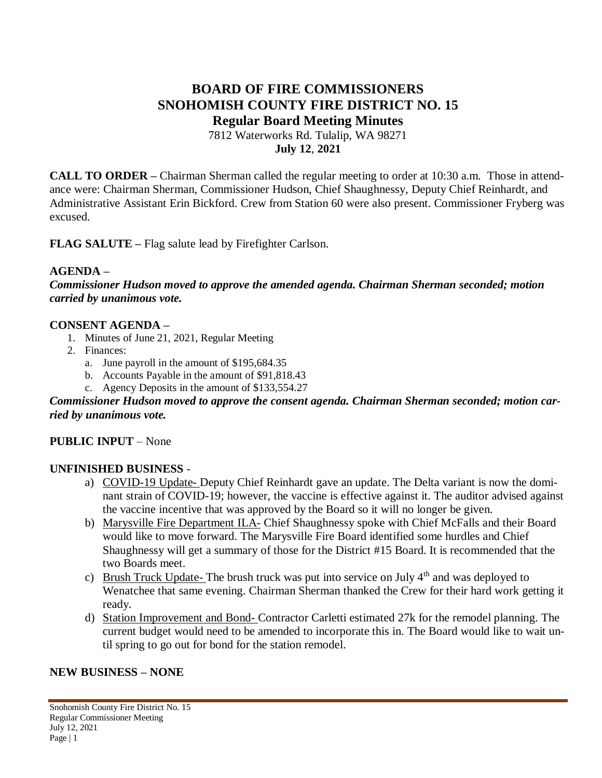# **BOARD OF FIRE COMMISSIONERS SNOHOMISH COUNTY FIRE DISTRICT NO. 15 Regular Board Meeting Minutes**

7812 Waterworks Rd. Tulalip, WA 98271 **July 12**, **2021**

**CALL TO ORDER –** Chairman Sherman called the regular meeting to order at 10:30 a.m. Those in attendance were: Chairman Sherman, Commissioner Hudson, Chief Shaughnessy, Deputy Chief Reinhardt, and Administrative Assistant Erin Bickford. Crew from Station 60 were also present. Commissioner Fryberg was excused.

**FLAG SALUTE –** Flag salute lead by Firefighter Carlson.

### **AGENDA –**

*Commissioner Hudson moved to approve the amended agenda. Chairman Sherman seconded; motion carried by unanimous vote.*

### **CONSENT AGENDA –**

- 1. Minutes of June 21, 2021, Regular Meeting
- 2. Finances:
	- a. June payroll in the amount of \$195,684.35
	- b. Accounts Payable in the amount of \$91,818.43
	- c. Agency Deposits in the amount of \$133,554.27

#### *Commissioner Hudson moved to approve the consent agenda. Chairman Sherman seconded; motion carried by unanimous vote.*

### **PUBLIC INPUT** – None

### **UNFINISHED BUSINESS** -

- a) COVID-19 Update- Deputy Chief Reinhardt gave an update. The Delta variant is now the dominant strain of COVID-19; however, the vaccine is effective against it. The auditor advised against the vaccine incentive that was approved by the Board so it will no longer be given.
- b) Marysville Fire Department ILA- Chief Shaughnessy spoke with Chief McFalls and their Board would like to move forward. The Marysville Fire Board identified some hurdles and Chief Shaughnessy will get a summary of those for the District #15 Board. It is recommended that the two Boards meet.
- c) Brush Truck Update- The brush truck was put into service on July  $4<sup>th</sup>$  and was deployed to Wenatchee that same evening. Chairman Sherman thanked the Crew for their hard work getting it ready.
- d) Station Improvement and Bond- Contractor Carletti estimated 27k for the remodel planning. The current budget would need to be amended to incorporate this in. The Board would like to wait until spring to go out for bond for the station remodel.

### **NEW BUSINESS – NONE**